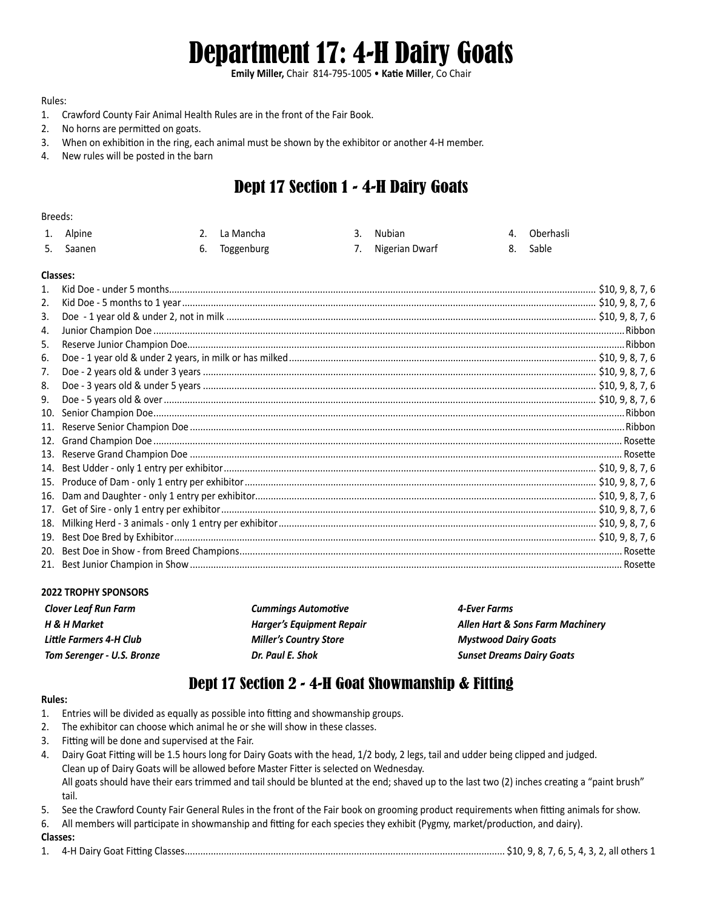# Department 17: 4-H Dairy Goats

**Emily Miller,** Chair 814-795-1005 • **Katie Miller**, Co Chair

#### Rules:

- 1. Crawford County Fair Animal Health Rules are in the front of the Fair Book.
- 2. No horns are permitted on goats.
- 3. When on exhibition in the ring, each animal must be shown by the exhibitor or another 4-H member.
- 4. New rules will be posted in the barn

## Dept 17 Section 1 - 4-H Dairy Goats

#### Breeds:

| 1. Alpine | 2. La Mancha  | 3. Nubian         | 4. Oberhasli |
|-----------|---------------|-------------------|--------------|
| 5. Saanen | 6. Toggenburg | 7. Nigerian Dwarf | 8. Sable     |

#### **Classes:**

| 2.  |                                                                                                                                                                                                                                                                                                                                                                                            |  |
|-----|--------------------------------------------------------------------------------------------------------------------------------------------------------------------------------------------------------------------------------------------------------------------------------------------------------------------------------------------------------------------------------------------|--|
| 3.  |                                                                                                                                                                                                                                                                                                                                                                                            |  |
| 4.  |                                                                                                                                                                                                                                                                                                                                                                                            |  |
| 5.  |                                                                                                                                                                                                                                                                                                                                                                                            |  |
| 6.  |                                                                                                                                                                                                                                                                                                                                                                                            |  |
| 7.  |                                                                                                                                                                                                                                                                                                                                                                                            |  |
| 8.  |                                                                                                                                                                                                                                                                                                                                                                                            |  |
| 9.  |                                                                                                                                                                                                                                                                                                                                                                                            |  |
| 10. | $\begin{tabular}{ c c c c } \hline \textbf{Reserve Unrior } \textbf{Champ} & \textbf{the 1 year} \textbf{ of 108} & \textbf{0.98.7, 6} \\\hline \textbf{Doe -1 year} & 510, 9, 8, 7, 6 \\\hline \textbf{Doe -2 years} & .510, 9, 8, 7, 6 \\\hline \textbf{Doe -3 years} & .510, 9, 8, 7, 6 \\\hline \textbf{Doe -5 years} & .510, 9, 8, 7, 6 \\\hline \textbf{Doe -5 years} & .510, 9, 8,$ |  |
| 11. |                                                                                                                                                                                                                                                                                                                                                                                            |  |
| 12. |                                                                                                                                                                                                                                                                                                                                                                                            |  |
| 13. |                                                                                                                                                                                                                                                                                                                                                                                            |  |
| 14. |                                                                                                                                                                                                                                                                                                                                                                                            |  |
| 15. |                                                                                                                                                                                                                                                                                                                                                                                            |  |
| 16. |                                                                                                                                                                                                                                                                                                                                                                                            |  |
| 17. |                                                                                                                                                                                                                                                                                                                                                                                            |  |
| 18. |                                                                                                                                                                                                                                                                                                                                                                                            |  |
| 19. |                                                                                                                                                                                                                                                                                                                                                                                            |  |
| 20. |                                                                                                                                                                                                                                                                                                                                                                                            |  |
|     |                                                                                                                                                                                                                                                                                                                                                                                            |  |

#### **2022 TROPHY SPONSORS**

| <b>Clover Leaf Run Farm</b> | <b>Cummings Automotive</b>       | 4-Ever Farms                     |
|-----------------------------|----------------------------------|----------------------------------|
| H & H Market                | <b>Harger's Equipment Repair</b> | Allen Hart & Sons Farm Machinery |
| Little Farmers 4-H Club     | <b>Miller's Country Store</b>    | <b>Mystwood Dairy Goats</b>      |
| Tom Serenger - U.S. Bronze  | Dr. Paul E. Shok                 | <b>Sunset Dreams Dairy Goats</b> |

### Dept 17 Section 2 - 4-H Goat Showmanship & Fitting

#### **Rules:**

- 1. Entries will be divided as equally as possible into fitting and showmanship groups.
- 2. The exhibitor can choose which animal he or she will show in these classes.
- 3. Fitting will be done and supervised at the Fair.
- 4. Dairy Goat Fitting will be 1.5 hours long for Dairy Goats with the head, 1/2 body, 2 legs, tail and udder being clipped and judged. Clean up of Dairy Goats will be allowed before Master Fitter is selected on Wednesday. All goats should have their ears trimmed and tail should be blunted at the end; shaved up to the last two (2) inches creating a "paint brush" tail.
- 5. See the Crawford County Fair General Rules in the front of the Fair book on grooming product requirements when fitting animals for show.
- 6. All members will participate in showmanship and fitting for each species they exhibit (Pygmy, market/production, and dairy).

#### **Classes:**

1. 4-H Dairy Goat Fitting Classes........................................................................................................................... \$10, 9, 8, 7, 6, 5, 4, 3, 2, all others 1